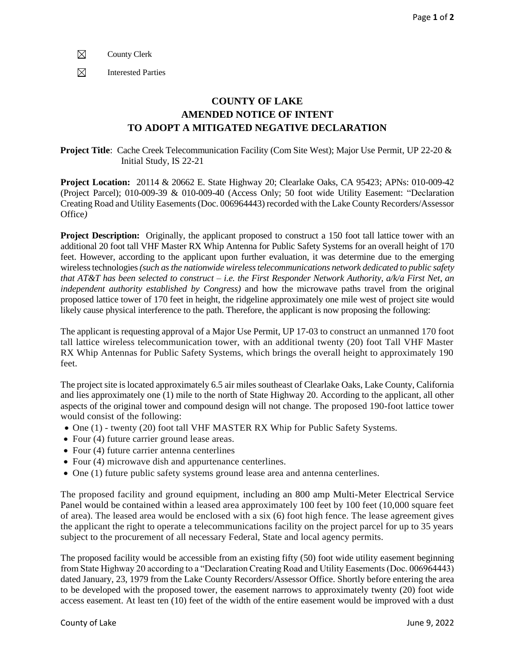$\boxtimes$ County Clerk

 $\boxtimes$ Interested Parties

## **COUNTY OF LAKE AMENDED NOTICE OF INTENT TO ADOPT A MITIGATED NEGATIVE DECLARATION**

**Project Title**: Cache Creek Telecommunication Facility (Com Site West); Major Use Permit, UP 22-20 & Initial Study, IS 22-21

**Project Location:** 20114 & 20662 E. State Highway 20; Clearlake Oaks, CA 95423; APNs: 010-009-42 (Project Parcel); 010-009-39 & 010-009-40 (Access Only; 50 foot wide Utility Easement: "Declaration Creating Road and Utility Easements (Doc. 006964443) recorded with the Lake County Recorders/Assessor Office*)*

**Project Description:** Originally, the applicant proposed to construct a 150 foot tall lattice tower with an additional 20 foot tall VHF Master RX Whip Antenna for Public Safety Systems for an overall height of 170 feet. However, according to the applicant upon further evaluation, it was determine due to the emerging wireless technologies *(such as the nationwide wireless telecommunications network dedicated to public safety that AT&T has been selected to construct – i.e. the First Responder Network Authority, a/k/a First Net, an independent authority established by Congress)* and how the microwave paths travel from the original proposed lattice tower of 170 feet in height, the ridgeline approximately one mile west of project site would likely cause physical interference to the path. Therefore, the applicant is now proposing the following:

The applicant is requesting approval of a Major Use Permit, UP 17-03 to construct an unmanned 170 foot tall lattice wireless telecommunication tower, with an additional twenty (20) foot Tall VHF Master RX Whip Antennas for Public Safety Systems, which brings the overall height to approximately 190 feet.

The project site is located approximately 6.5 air miles southeast of Clearlake Oaks, Lake County, California and lies approximately one (1) mile to the north of State Highway 20. According to the applicant, all other aspects of the original tower and compound design will not change. The proposed 190-foot lattice tower would consist of the following:

- One (1) twenty (20) foot tall VHF MASTER RX Whip for Public Safety Systems.
- Four (4) future carrier ground lease areas.
- Four (4) future carrier antenna centerlines
- Four (4) microwave dish and appurtenance centerlines.
- One (1) future public safety systems ground lease area and antenna centerlines.

The proposed facility and ground equipment, including an 800 amp Multi-Meter Electrical Service Panel would be contained within a leased area approximately 100 feet by 100 feet (10,000 square feet of area). The leased area would be enclosed with a six (6) foot high fence. The lease agreement gives the applicant the right to operate a telecommunications facility on the project parcel for up to 35 years subject to the procurement of all necessary Federal, State and local agency permits.

The proposed facility would be accessible from an existing fifty (50) foot wide utility easement beginning from State Highway 20 according to a "Declaration Creating Road and Utility Easements (Doc. 006964443) dated January, 23, 1979 from the Lake County Recorders/Assessor Office. Shortly before entering the area to be developed with the proposed tower, the easement narrows to approximately twenty (20) foot wide access easement. At least ten (10) feet of the width of the entire easement would be improved with a dust